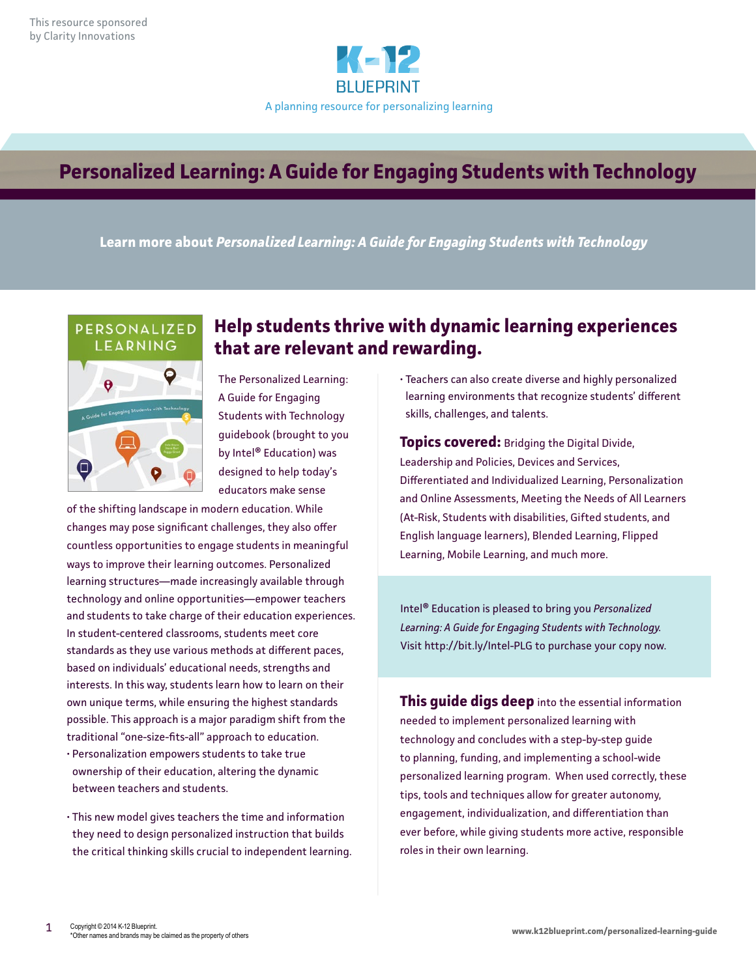

# **Personalized Learning: A Guide for Engaging Students with Technology**

**Learn more about** *Personalized Learning: A Guide for Engaging Students with Technology*



# **Help students thrive with dynamic learning experiences that are relevant and rewarding.**

The Personalized Learning: A Guide for Engaging Students with Technology guidebook (brought to you by Intel® Education) was designed to help today's educators make sense

of the shifting landscape in modern education. While changes may pose significant challenges, they also offer countless opportunities to engage students in meaningful ways to improve their learning outcomes. Personalized learning structures—made increasingly available through technology and online opportunities—empower teachers and students to take charge of their education experiences. In student-centered classrooms, students meet core standards as they use various methods at different paces, based on individuals' educational needs, strengths and interests. In this way, students learn how to learn on their own unique terms, while ensuring the highest standards possible. This approach is a major paradigm shift from the traditional "one-size-fits-all" approach to education.

- Personalization empowers students to take true ownership of their education, altering the dynamic between teachers and students.
- This new model gives teachers the time and information they need to design personalized instruction that builds the critical thinking skills crucial to independent learning.

• Teachers can also create diverse and highly personalized learning environments that recognize students' different skills, challenges, and talents.

**Topics covered:** Bridging the Digital Divide, Leadership and Policies, Devices and Services, Differentiated and Individualized Learning, Personalization and Online Assessments, Meeting the Needs of All Learners (At-Risk, Students with disabilities, Gifted students, and English language learners), Blended Learning, Flipped Learning, Mobile Learning, and much more.

Intel® Education is pleased to bring you *Personalized Learning: A Guide for Engaging Students with Technology.* Visit http://bit.ly/Intel-PLG to purchase your copy now.

**This guide digs deep** into the essential information needed to implement personalized learning with technology and concludes with a step-by-step guide to planning, funding, and implementing a school-wide personalized learning program. When used correctly, these tips, tools and techniques allow for greater autonomy, engagement, individualization, and differentiation than ever before, while giving students more active, responsible roles in their own learning.